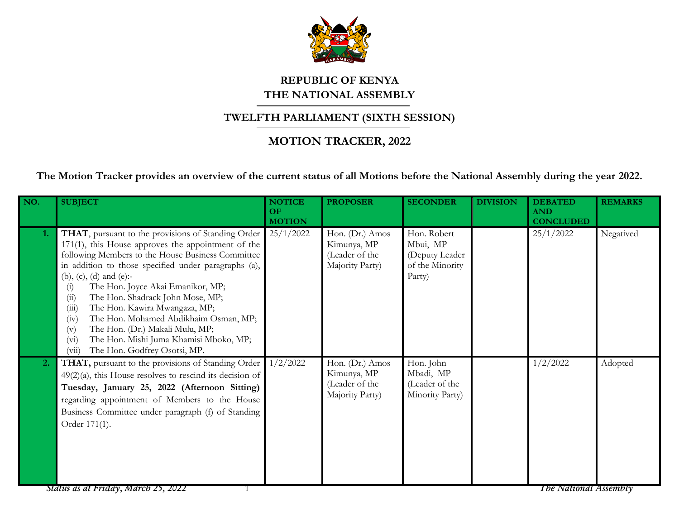

## **REPUBLIC OF KENYA THE NATIONAL ASSEMBLY**

## **TWELFTH PARLIAMENT (SIXTH SESSION)**

## **MOTION TRACKER, 2022**

**The Motion Tracker provides an overview of the current status of all Motions before the National Assembly during the year 2022.**

| NO. | <b>SUBJECT</b>                                                                                                                                                                                                                                                                                                                                                                                                                                                                                                                                                                         | <b>NOTICE</b><br>OF<br><b>MOTION</b> | <b>PROPOSER</b>                                                     | <b>SECONDER</b>                                                        | <b>DIVISION</b> | <b>DEBATED</b><br><b>AND</b><br><b>CONCLUDED</b> | <b>REMARKS</b> |
|-----|----------------------------------------------------------------------------------------------------------------------------------------------------------------------------------------------------------------------------------------------------------------------------------------------------------------------------------------------------------------------------------------------------------------------------------------------------------------------------------------------------------------------------------------------------------------------------------------|--------------------------------------|---------------------------------------------------------------------|------------------------------------------------------------------------|-----------------|--------------------------------------------------|----------------|
| 1.  | <b>THAT</b> , pursuant to the provisions of Standing Order<br>$171(1)$ , this House approves the appointment of the<br>following Members to the House Business Committee<br>in addition to those specified under paragraphs (a),<br>(b), (c), (d) and (e):-<br>The Hon. Joyce Akai Emanikor, MP;<br>(i)<br>The Hon. Shadrack John Mose, MP;<br>(ii)<br>The Hon. Kawira Mwangaza, MP;<br>(iii)<br>The Hon. Mohamed Abdikhaim Osman, MP;<br>(iv)<br>The Hon. (Dr.) Makali Mulu, MP;<br>(v)<br>The Hon. Mishi Juma Khamisi Mboko, MP;<br>$(v_i)$<br>The Hon. Godfrey Osotsi, MP.<br>(vii) | 25/1/2022                            | Hon. (Dr.) Amos<br>Kimunya, MP<br>(Leader of the<br>Majority Party) | Hon. Robert<br>Mbui, MP<br>(Deputy Leader<br>of the Minority<br>Party) |                 | 25/1/2022                                        | Negatived      |
| 2.  | THAT, pursuant to the provisions of Standing Order<br>$49(2)(a)$ , this House resolves to rescind its decision of<br>Tuesday, January 25, 2022 (Afternoon Sitting)<br>regarding appointment of Members to the House<br>Business Committee under paragraph (f) of Standing<br>Order 171(1).                                                                                                                                                                                                                                                                                             | 1/2/2022                             | Hon. (Dr.) Amos<br>Kimunya, MP<br>(Leader of the<br>Majority Party) | Hon. John<br>Mbadi, MP<br>(Leader of the<br>Minority Party)            |                 | 1/2/2022                                         | Adopted        |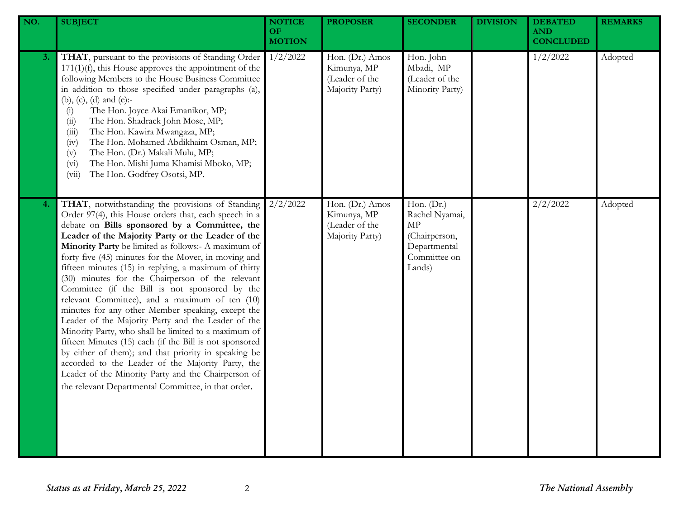| NO. | <b>SUBJECT</b>                                                                                                                                                                                                                                                                                                                                                                                                                                                                                                                                                                                                                                                                                                                                                                                                                                                                                                                                                                                           | <b>NOTICE</b><br>OF<br><b>MOTION</b> | <b>PROPOSER</b>                                                     | <b>SECONDER</b>                                                                               | <b>DIVISION</b> | <b>DEBATED</b><br><b>AND</b><br><b>CONCLUDED</b> | <b>REMARKS</b> |
|-----|----------------------------------------------------------------------------------------------------------------------------------------------------------------------------------------------------------------------------------------------------------------------------------------------------------------------------------------------------------------------------------------------------------------------------------------------------------------------------------------------------------------------------------------------------------------------------------------------------------------------------------------------------------------------------------------------------------------------------------------------------------------------------------------------------------------------------------------------------------------------------------------------------------------------------------------------------------------------------------------------------------|--------------------------------------|---------------------------------------------------------------------|-----------------------------------------------------------------------------------------------|-----------------|--------------------------------------------------|----------------|
| 3.  | THAT, pursuant to the provisions of Standing Order<br>$171(1)(f)$ , this House approves the appointment of the<br>following Members to the House Business Committee<br>in addition to those specified under paragraphs (a),<br>(b), (c), (d) and (e):-<br>The Hon. Joyce Akai Emanikor, MP;<br>(i)<br>The Hon. Shadrack John Mose, MP;<br>(ii)<br>The Hon. Kawira Mwangaza, MP;<br>(iii)<br>The Hon. Mohamed Abdikhaim Osman, MP;<br>(iv)<br>The Hon. (Dr.) Makali Mulu, MP;<br>(v)<br>The Hon. Mishi Juma Khamisi Mboko, MP;<br>(v <sub>i</sub> )<br>The Hon. Godfrey Osotsi, MP.<br>(vii)                                                                                                                                                                                                                                                                                                                                                                                                              | 1/2/2022                             | Hon. (Dr.) Amos<br>Kimunya, MP<br>(Leader of the<br>Majority Party) | Hon. John<br>Mbadi, MP<br>(Leader of the<br>Minority Party)                                   |                 | 1/2/2022                                         | Adopted        |
| 4.  | THAT, notwithstanding the provisions of Standing<br>Order 97(4), this House orders that, each speech in a<br>debate on Bills sponsored by a Committee, the<br>Leader of the Majority Party or the Leader of the<br>Minority Party be limited as follows:- A maximum of<br>forty five (45) minutes for the Mover, in moving and<br>fifteen minutes (15) in replying, a maximum of thirty<br>(30) minutes for the Chairperson of the relevant<br>Committee (if the Bill is not sponsored by the<br>relevant Committee), and a maximum of ten (10)<br>minutes for any other Member speaking, except the<br>Leader of the Majority Party and the Leader of the<br>Minority Party, who shall be limited to a maximum of<br>fifteen Minutes (15) each (if the Bill is not sponsored<br>by either of them); and that priority in speaking be<br>accorded to the Leader of the Majority Party, the<br>Leader of the Minority Party and the Chairperson of<br>the relevant Departmental Committee, in that order. | 2/2/2022                             | Hon. (Dr.) Amos<br>Kimunya, MP<br>(Leader of the<br>Majority Party) | Hon. (Dr.)<br>Rachel Nyamai,<br>MP<br>(Chairperson,<br>Departmental<br>Committee on<br>Lands) |                 | 2/2/2022                                         | Adopted        |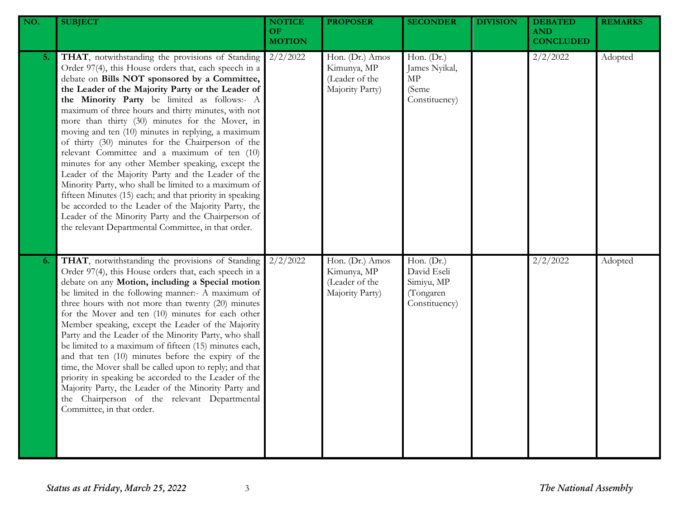| NO. | <b>SUBJECT</b>                                                                                                                                                                                                                                                                                                                                                                                                                                                                                                                                                                                                                                                                                                                                                                                                                                                                                                                            | <b>NOTICE</b><br>OF<br><b>MOTION</b> | <b>PROPOSER</b>                                                     | <b>SECONDER</b>                                                       | <b>DIVISION</b> | <b>DEBATED</b><br><b>AND</b><br><b>CONCLUDED</b> | <b>REMARKS</b> |
|-----|-------------------------------------------------------------------------------------------------------------------------------------------------------------------------------------------------------------------------------------------------------------------------------------------------------------------------------------------------------------------------------------------------------------------------------------------------------------------------------------------------------------------------------------------------------------------------------------------------------------------------------------------------------------------------------------------------------------------------------------------------------------------------------------------------------------------------------------------------------------------------------------------------------------------------------------------|--------------------------------------|---------------------------------------------------------------------|-----------------------------------------------------------------------|-----------------|--------------------------------------------------|----------------|
| 5.  | THAT, notwithstanding the provisions of Standing<br>Order 97(4), this House orders that, each speech in a<br>debate on Bills NOT sponsored by a Committee,<br>the Leader of the Majority Party or the Leader of<br>the Minority Party be limited as follows:- A<br>maximum of three hours and thirty minutes, with not<br>more than thirty (30) minutes for the Mover, in<br>moving and ten (10) minutes in replying, a maximum<br>of thirty (30) minutes for the Chairperson of the<br>relevant Committee and a maximum of ten (10)<br>minutes for any other Member speaking, except the<br>Leader of the Majority Party and the Leader of the<br>Minority Party, who shall be limited to a maximum of<br>fifteen Minutes (15) each; and that priority in speaking<br>be accorded to the Leader of the Majority Party, the<br>Leader of the Minority Party and the Chairperson of<br>the relevant Departmental Committee, in that order. | 2/2/2022                             | Hon. (Dr.) Amos<br>Kimunya, MP<br>(Leader of the<br>Majority Party) | Hon. (Dr.)<br>James Nyikal,<br>MP<br>(Seme<br>Constituency)           |                 | 2/2/2022                                         | Adopted        |
| 6.  | THAT, notwithstanding the provisions of Standing<br>Order 97(4), this House orders that, each speech in a<br>debate on any Motion, including a Special motion<br>be limited in the following manner:- A maximum of<br>three hours with not more than twenty (20) minutes<br>for the Mover and ten (10) minutes for each other<br>Member speaking, except the Leader of the Majority<br>Party and the Leader of the Minority Party, who shall<br>be limited to a maximum of fifteen (15) minutes each,<br>and that ten (10) minutes before the expiry of the<br>time, the Mover shall be called upon to reply; and that<br>priority in speaking be accorded to the Leader of the<br>Majority Party, the Leader of the Minority Party and<br>the Chairperson of the relevant Departmental<br>Committee, in that order.                                                                                                                      | 2/2/2022                             | Hon. (Dr.) Amos<br>Kimunya, MP<br>(Leader of the<br>Majority Party) | Hon. (Dr.)<br>David Eseli<br>Simiyu, MP<br>(Tongaren<br>Constituency) |                 | 2/2/2022                                         | Adopted        |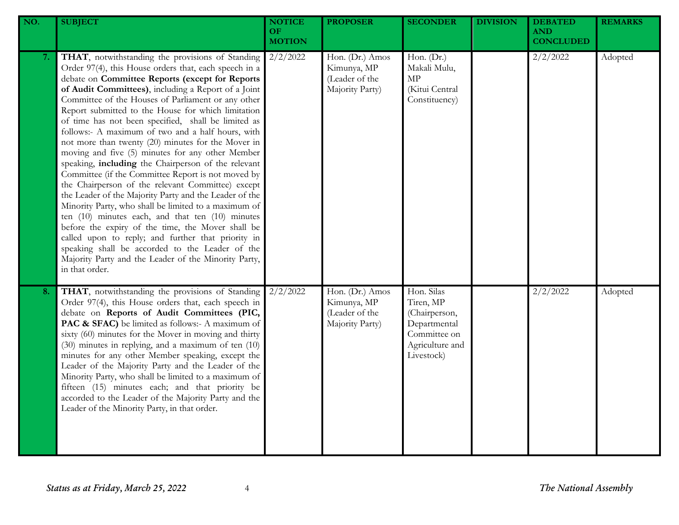| NO. | <b>SUBJECT</b>                                                                                                                                                                                                                                                                                                                                                                                                                                                                                                                                                                                                                                                                                                                                                                                                                                                                                                                                                                                                                                                                                                                            | <b>NOTICE</b><br>OF.<br><b>MOTION</b> | <b>PROPOSER</b>                                                     | <b>SECONDER</b>                                                                                           | <b>DIVISION</b> | <b>DEBATED</b><br><b>AND</b><br><b>CONCLUDED</b> | <b>REMARKS</b> |
|-----|-------------------------------------------------------------------------------------------------------------------------------------------------------------------------------------------------------------------------------------------------------------------------------------------------------------------------------------------------------------------------------------------------------------------------------------------------------------------------------------------------------------------------------------------------------------------------------------------------------------------------------------------------------------------------------------------------------------------------------------------------------------------------------------------------------------------------------------------------------------------------------------------------------------------------------------------------------------------------------------------------------------------------------------------------------------------------------------------------------------------------------------------|---------------------------------------|---------------------------------------------------------------------|-----------------------------------------------------------------------------------------------------------|-----------------|--------------------------------------------------|----------------|
| 7.  | THAT, notwithstanding the provisions of Standing<br>Order 97(4), this House orders that, each speech in a<br>debate on Committee Reports (except for Reports<br>of Audit Committees), including a Report of a Joint<br>Committee of the Houses of Parliament or any other<br>Report submitted to the House for which limitation<br>of time has not been specified, shall be limited as<br>follows:- A maximum of two and a half hours, with<br>not more than twenty (20) minutes for the Mover in<br>moving and five (5) minutes for any other Member<br>speaking, including the Chairperson of the relevant<br>Committee (if the Committee Report is not moved by<br>the Chairperson of the relevant Committee) except<br>the Leader of the Majority Party and the Leader of the<br>Minority Party, who shall be limited to a maximum of<br>ten $(10)$ minutes each, and that ten $(10)$ minutes<br>before the expiry of the time, the Mover shall be<br>called upon to reply; and further that priority in<br>speaking shall be accorded to the Leader of the<br>Majority Party and the Leader of the Minority Party,<br>in that order. | $2/2/\overline{2022}$                 | Hon. (Dr.) Amos<br>Kimunya, MP<br>(Leader of the<br>Majority Party) | Hon. (Dr.)<br>Makali Mulu,<br>$\ensuremath{\mathrm{MP}}$<br>(Kitui Central<br>Constituency)               |                 | 2/2/2022                                         | Adopted        |
| 8.  | THAT, notwithstanding the provisions of Standing<br>Order 97(4), this House orders that, each speech in<br>debate on Reports of Audit Committees (PIC,<br>PAC & SFAC) be limited as follows:- A maximum of<br>sixty (60) minutes for the Mover in moving and thirty<br>(30) minutes in replying, and a maximum of ten (10)<br>minutes for any other Member speaking, except the<br>Leader of the Majority Party and the Leader of the<br>Minority Party, who shall be limited to a maximum of<br>fifteen (15) minutes each; and that priority be<br>accorded to the Leader of the Majority Party and the<br>Leader of the Minority Party, in that order.                                                                                                                                                                                                                                                                                                                                                                                                                                                                                  | 2/2/2022                              | Hon. (Dr.) Amos<br>Kimunya, MP<br>(Leader of the<br>Majority Party) | Hon. Silas<br>Tiren, MP<br>(Chairperson,<br>Departmental<br>Committee on<br>Agriculture and<br>Livestock) |                 | 2/2/2022                                         | Adopted        |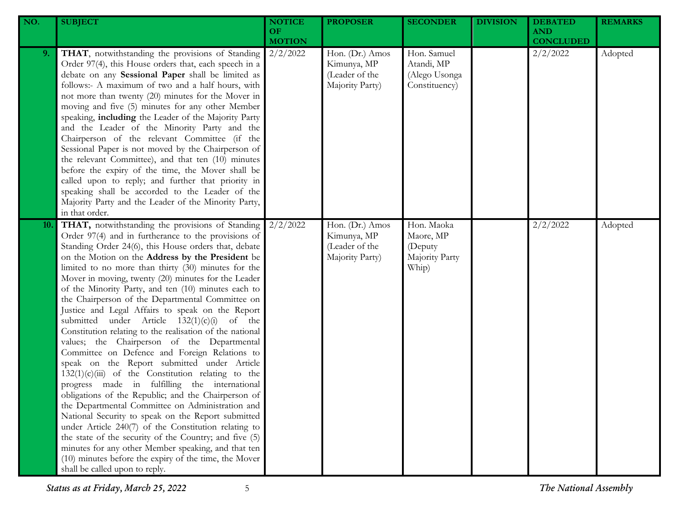| NO. | <b>SUBJECT</b>                                                                                                                                                                                                                                                                                                                                                                                                                                                                                                                                                                                                                                                                                                                                                                                                                                                                                                                                                                                                                                                                                                                                                                                                                                                                                             | <b>NOTICE</b><br>OF<br><b>MOTION</b> | <b>PROPOSER</b>                                                     | <b>SECONDER</b>                                               | <b>DIVISION</b> | <b>DEBATED</b><br><b>AND</b><br><b>CONCLUDED</b> | <b>REMARKS</b> |
|-----|------------------------------------------------------------------------------------------------------------------------------------------------------------------------------------------------------------------------------------------------------------------------------------------------------------------------------------------------------------------------------------------------------------------------------------------------------------------------------------------------------------------------------------------------------------------------------------------------------------------------------------------------------------------------------------------------------------------------------------------------------------------------------------------------------------------------------------------------------------------------------------------------------------------------------------------------------------------------------------------------------------------------------------------------------------------------------------------------------------------------------------------------------------------------------------------------------------------------------------------------------------------------------------------------------------|--------------------------------------|---------------------------------------------------------------------|---------------------------------------------------------------|-----------------|--------------------------------------------------|----------------|
| 9.  | THAT, notwithstanding the provisions of Standing<br>Order 97(4), this House orders that, each speech in a<br>debate on any Sessional Paper shall be limited as<br>follows:- A maximum of two and a half hours, with<br>not more than twenty (20) minutes for the Mover in<br>moving and five (5) minutes for any other Member<br>speaking, including the Leader of the Majority Party<br>and the Leader of the Minority Party and the<br>Chairperson of the relevant Committee (if the<br>Sessional Paper is not moved by the Chairperson of<br>the relevant Committee), and that ten (10) minutes<br>before the expiry of the time, the Mover shall be<br>called upon to reply; and further that priority in<br>speaking shall be accorded to the Leader of the<br>Majority Party and the Leader of the Minority Party,<br>in that order.                                                                                                                                                                                                                                                                                                                                                                                                                                                                 | 2/2/2022                             | Hon. (Dr.) Amos<br>Kimunya, MP<br>(Leader of the<br>Majority Party) | Hon. Samuel<br>Atandi, MP<br>(Alego Usonga<br>Constituency)   |                 | 2/2/2022                                         | Adopted        |
| 10. | THAT, notwithstanding the provisions of Standing<br>Order 97(4) and in furtherance to the provisions of<br>Standing Order 24(6), this House orders that, debate<br>on the Motion on the Address by the President be<br>limited to no more than thirty (30) minutes for the<br>Mover in moving, twenty (20) minutes for the Leader<br>of the Minority Party, and ten (10) minutes each to<br>the Chairperson of the Departmental Committee on<br>Justice and Legal Affairs to speak on the Report<br>submitted under Article $132(1)(c)(i)$ of the<br>Constitution relating to the realisation of the national<br>values; the Chairperson of the Departmental<br>Committee on Defence and Foreign Relations to<br>speak on the Report submitted under Article<br>$132(1)(c)(iii)$ of the Constitution relating to the<br>progress made in fulfilling the international<br>obligations of the Republic; and the Chairperson of<br>the Departmental Committee on Administration and<br>National Security to speak on the Report submitted<br>under Article 240(7) of the Constitution relating to<br>the state of the security of the Country; and five (5)<br>minutes for any other Member speaking, and that ten<br>(10) minutes before the expiry of the time, the Mover<br>shall be called upon to reply. | 2/2/2022                             | Hon. (Dr.) Amos<br>Kimunya, MP<br>(Leader of the<br>Majority Party) | Hon. Maoka<br>Maore, MP<br>(Deputy<br>Majority Party<br>Whip) |                 | 2/2/2022                                         | Adopted        |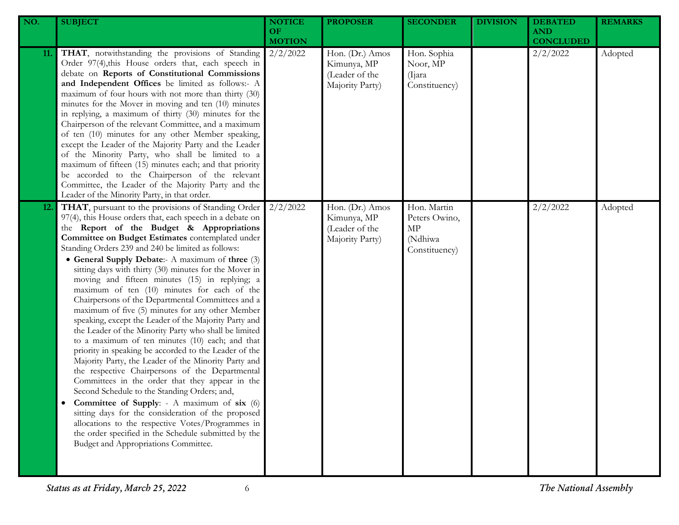| NO.        | <b>SUBJECT</b>                                                                                                                                                                                                                                                                                                                                                                                                                                                                                                                                                                                                                                                                                                                                                                                                                                                                                                                                                                                                                                                                                                                                                                                                                                                                                       | <b>NOTICE</b><br>OF.<br><b>MOTION</b> | <b>PROPOSER</b>                                                     | <b>SECONDER</b>                                                | <b>DIVISION</b> | <b>DEBATED</b><br><b>AND</b><br><b>CONCLUDED</b> | <b>REMARKS</b> |
|------------|------------------------------------------------------------------------------------------------------------------------------------------------------------------------------------------------------------------------------------------------------------------------------------------------------------------------------------------------------------------------------------------------------------------------------------------------------------------------------------------------------------------------------------------------------------------------------------------------------------------------------------------------------------------------------------------------------------------------------------------------------------------------------------------------------------------------------------------------------------------------------------------------------------------------------------------------------------------------------------------------------------------------------------------------------------------------------------------------------------------------------------------------------------------------------------------------------------------------------------------------------------------------------------------------------|---------------------------------------|---------------------------------------------------------------------|----------------------------------------------------------------|-----------------|--------------------------------------------------|----------------|
| 11.        | THAT, notwithstanding the provisions of Standing<br>Order 97(4), this House orders that, each speech in<br>debate on Reports of Constitutional Commissions<br>and Independent Offices be limited as follows:- A<br>maximum of four hours with not more than thirty (30)<br>minutes for the Mover in moving and ten (10) minutes<br>in replying, a maximum of thirty (30) minutes for the<br>Chairperson of the relevant Committee, and a maximum<br>of ten (10) minutes for any other Member speaking,<br>except the Leader of the Majority Party and the Leader<br>of the Minority Party, who shall be limited to a<br>maximum of fifteen (15) minutes each; and that priority<br>be accorded to the Chairperson of the relevant<br>Committee, the Leader of the Majority Party and the<br>Leader of the Minority Party, in that order.                                                                                                                                                                                                                                                                                                                                                                                                                                                             | 2/2/2022                              | Hon. (Dr.) Amos<br>Kimunya, MP<br>(Leader of the<br>Majority Party) | Hon. Sophia<br>Noor, MP<br>(Ijara)<br>Constituency)            |                 | 2/2/2022                                         | Adopted        |
| <b>12.</b> | THAT, pursuant to the provisions of Standing Order<br>97(4), this House orders that, each speech in a debate on<br>the Report of the Budget & Appropriations<br>Committee on Budget Estimates contemplated under<br>Standing Orders 239 and 240 be limited as follows:<br>• General Supply Debate:- A maximum of three (3)<br>sitting days with thirty (30) minutes for the Mover in<br>moving and fifteen minutes (15) in replying; a<br>maximum of ten (10) minutes for each of the<br>Chairpersons of the Departmental Committees and a<br>maximum of five (5) minutes for any other Member<br>speaking, except the Leader of the Majority Party and<br>the Leader of the Minority Party who shall be limited<br>to a maximum of ten minutes (10) each; and that<br>priority in speaking be accorded to the Leader of the<br>Majority Party, the Leader of the Minority Party and<br>the respective Chairpersons of the Departmental<br>Committees in the order that they appear in the<br>Second Schedule to the Standing Orders; and,<br>Committee of Supply: - A maximum of six (6)<br>sitting days for the consideration of the proposed<br>allocations to the respective Votes/Programmes in<br>the order specified in the Schedule submitted by the<br>Budget and Appropriations Committee. | 2/2/2022                              | Hon. (Dr.) Amos<br>Kimunya, MP<br>(Leader of the<br>Majority Party) | Hon. Martin<br>Peters Owino,<br>MP<br>(Ndhiwa<br>Constituency) |                 | 2/2/2022                                         | Adopted        |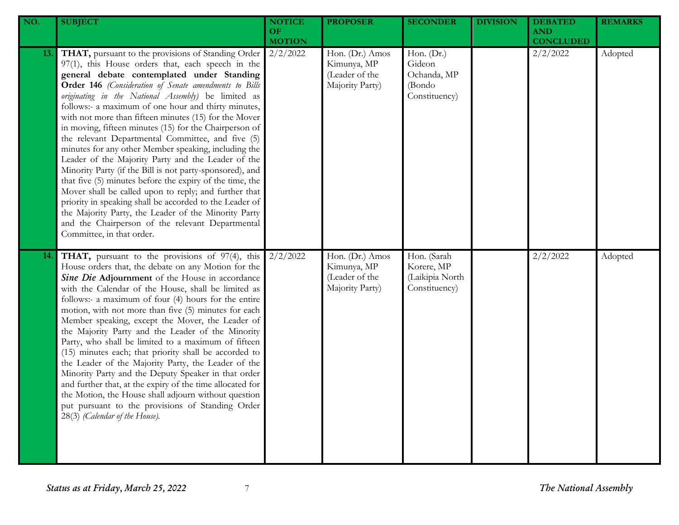| NO.        | <b>SUBJECT</b>                                                                                                                                                                                                                                                                                                                                                                                                                                                                                                                                                                                                                                                                                                                                                                                                                                                                                                                                                                                           | <b>NOTICE</b><br>OF.<br><b>MOTION</b> | <b>PROPOSER</b>                                                     | <b>SECONDER</b>                                                  | <b>DIVISION</b> | <b>DEBATED</b><br><b>AND</b><br><b>CONCLUDED</b> | <b>REMARKS</b> |
|------------|----------------------------------------------------------------------------------------------------------------------------------------------------------------------------------------------------------------------------------------------------------------------------------------------------------------------------------------------------------------------------------------------------------------------------------------------------------------------------------------------------------------------------------------------------------------------------------------------------------------------------------------------------------------------------------------------------------------------------------------------------------------------------------------------------------------------------------------------------------------------------------------------------------------------------------------------------------------------------------------------------------|---------------------------------------|---------------------------------------------------------------------|------------------------------------------------------------------|-----------------|--------------------------------------------------|----------------|
| 13.        | THAT, pursuant to the provisions of Standing Order<br>97(1), this House orders that, each speech in the<br>general debate contemplated under Standing<br>Order 146 (Consideration of Senate amendments to Bills<br>originating in the National Assembly) be limited as<br>follows:- a maximum of one hour and thirty minutes,<br>with not more than fifteen minutes (15) for the Mover<br>in moving, fifteen minutes (15) for the Chairperson of<br>the relevant Departmental Committee, and five (5)<br>minutes for any other Member speaking, including the<br>Leader of the Majority Party and the Leader of the<br>Minority Party (if the Bill is not party-sponsored), and<br>that five (5) minutes before the expiry of the time, the<br>Mover shall be called upon to reply; and further that<br>priority in speaking shall be accorded to the Leader of<br>the Majority Party, the Leader of the Minority Party<br>and the Chairperson of the relevant Departmental<br>Committee, in that order. | 2/2/2022                              | Hon. (Dr.) Amos<br>Kimunya, MP<br>(Leader of the<br>Majority Party) | Hon. $(Dr.)$<br>Gideon<br>Ochanda, MP<br>(Bondo<br>Constituency) |                 | 2/2/2022                                         | Adopted        |
| <b>14.</b> | THAT, pursuant to the provisions of 97(4), this<br>House orders that, the debate on any Motion for the<br>Sine Die Adjournment of the House in accordance<br>with the Calendar of the House, shall be limited as<br>follows:- a maximum of four (4) hours for the entire<br>motion, with not more than five (5) minutes for each<br>Member speaking, except the Mover, the Leader of<br>the Majority Party and the Leader of the Minority<br>Party, who shall be limited to a maximum of fifteen<br>(15) minutes each; that priority shall be accorded to<br>the Leader of the Majority Party, the Leader of the<br>Minority Party and the Deputy Speaker in that order<br>and further that, at the expiry of the time allocated for<br>the Motion, the House shall adjourn without question<br>put pursuant to the provisions of Standing Order<br>28(3) (Calendar of the House).                                                                                                                       | 2/2/2022                              | Hon. (Dr.) Amos<br>Kimunya, MP<br>(Leader of the<br>Majority Party) | Hon. (Sarah<br>Korere, MP<br>(Laikipia North<br>Constituency)    |                 | 2/2/2022                                         | Adopted        |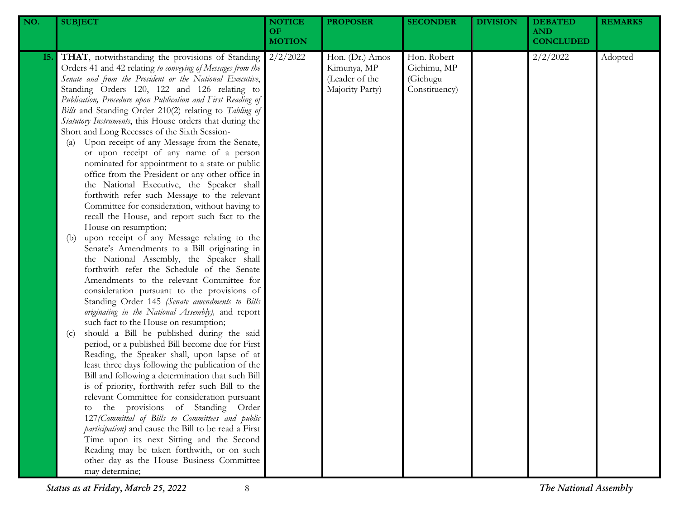| NO.        | <b>SUBJECT</b>                                                                                                                                                                                                                                                                                                                                                                                                                                                                                                                                                                                                                                                                                                                                                                                                                                                                                                                                                                                                                                                                                                                                                                                                                                                                                                                                                                                                                                                                                                                                                                                                                                                                                                                                                                                                                                                                                                                                                                                                                     | <b>NOTICE</b><br>OF<br><b>MOTION</b> | <b>PROPOSER</b>                                                     | <b>SECONDER</b>                                         | <b>DIVISION</b> | <b>DEBATED</b><br><b>AND</b><br><b>CONCLUDED</b> | <b>REMARKS</b> |
|------------|------------------------------------------------------------------------------------------------------------------------------------------------------------------------------------------------------------------------------------------------------------------------------------------------------------------------------------------------------------------------------------------------------------------------------------------------------------------------------------------------------------------------------------------------------------------------------------------------------------------------------------------------------------------------------------------------------------------------------------------------------------------------------------------------------------------------------------------------------------------------------------------------------------------------------------------------------------------------------------------------------------------------------------------------------------------------------------------------------------------------------------------------------------------------------------------------------------------------------------------------------------------------------------------------------------------------------------------------------------------------------------------------------------------------------------------------------------------------------------------------------------------------------------------------------------------------------------------------------------------------------------------------------------------------------------------------------------------------------------------------------------------------------------------------------------------------------------------------------------------------------------------------------------------------------------------------------------------------------------------------------------------------------------|--------------------------------------|---------------------------------------------------------------------|---------------------------------------------------------|-----------------|--------------------------------------------------|----------------|
| <b>15.</b> | THAT, notwithstanding the provisions of Standing<br>Orders 41 and 42 relating to conveying of Messages from the<br>Senate and from the President or the National Executive,<br>Standing Orders 120, 122 and 126 relating to<br>Publication, Procedure upon Publication and First Reading of<br>Bills and Standing Order 210(2) relating to Tabling of<br>Statutory Instruments, this House orders that during the<br>Short and Long Recesses of the Sixth Session-<br>Upon receipt of any Message from the Senate,<br>(a)<br>or upon receipt of any name of a person<br>nominated for appointment to a state or public<br>office from the President or any other office in<br>the National Executive, the Speaker shall<br>forthwith refer such Message to the relevant<br>Committee for consideration, without having to<br>recall the House, and report such fact to the<br>House on resumption;<br>upon receipt of any Message relating to the<br>(b)<br>Senate's Amendments to a Bill originating in<br>the National Assembly, the Speaker shall<br>forthwith refer the Schedule of the Senate<br>Amendments to the relevant Committee for<br>consideration pursuant to the provisions of<br>Standing Order 145 (Senate amendments to Bills<br>originating in the National Assembly), and report<br>such fact to the House on resumption;<br>should a Bill be published during the said<br>(c)<br>period, or a published Bill become due for First<br>Reading, the Speaker shall, upon lapse of at<br>least three days following the publication of the<br>Bill and following a determination that such Bill<br>is of priority, forthwith refer such Bill to the<br>relevant Committee for consideration pursuant<br>to the provisions of Standing Order<br>127 (Committal of Bills to Committees and public<br>participation) and cause the Bill to be read a First<br>Time upon its next Sitting and the Second<br>Reading may be taken forthwith, or on such<br>other day as the House Business Committee<br>may determine; | 2/2/2022                             | Hon. (Dr.) Amos<br>Kimunya, MP<br>(Leader of the<br>Majority Party) | Hon. Robert<br>Gichimu, MP<br>(Gichugu<br>Constituency) |                 | 2/2/2022                                         | Adopted        |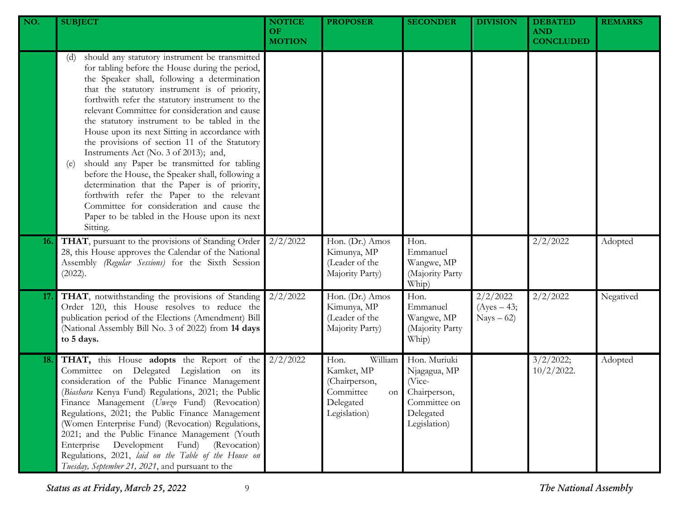| NO.        | <b>SUBJECT</b>                                                                                                                                                                                                                                                                                                                                                                                                                                                                                                                                                                                                                                                                                                                                                                                                              | <b>NOTICE</b><br><b>OF</b><br><b>MOTION</b> | <b>PROPOSER</b>                                                                                | <b>SECONDER</b>                                                                                     | <b>DIVISION</b>                          | <b>DEBATED</b><br><b>AND</b><br><b>CONCLUDED</b> | <b>REMARKS</b> |
|------------|-----------------------------------------------------------------------------------------------------------------------------------------------------------------------------------------------------------------------------------------------------------------------------------------------------------------------------------------------------------------------------------------------------------------------------------------------------------------------------------------------------------------------------------------------------------------------------------------------------------------------------------------------------------------------------------------------------------------------------------------------------------------------------------------------------------------------------|---------------------------------------------|------------------------------------------------------------------------------------------------|-----------------------------------------------------------------------------------------------------|------------------------------------------|--------------------------------------------------|----------------|
|            | should any statutory instrument be transmitted<br>(d)<br>for tabling before the House during the period,<br>the Speaker shall, following a determination<br>that the statutory instrument is of priority,<br>forthwith refer the statutory instrument to the<br>relevant Committee for consideration and cause<br>the statutory instrument to be tabled in the<br>House upon its next Sitting in accordance with<br>the provisions of section 11 of the Statutory<br>Instruments Act (No. 3 of 2013); and,<br>should any Paper be transmitted for tabling<br>(e)<br>before the House, the Speaker shall, following a<br>determination that the Paper is of priority,<br>forthwith refer the Paper to the relevant<br>Committee for consideration and cause the<br>Paper to be tabled in the House upon its next<br>Sitting. |                                             |                                                                                                |                                                                                                     |                                          |                                                  |                |
| <b>16.</b> | THAT, pursuant to the provisions of Standing Order<br>28, this House approves the Calendar of the National<br>Assembly (Regular Sessions) for the Sixth Session<br>(2022).                                                                                                                                                                                                                                                                                                                                                                                                                                                                                                                                                                                                                                                  | 2/2/2022                                    | Hon. (Dr.) Amos<br>Kimunya, MP<br>(Leader of the<br>Majority Party)                            | Hon.<br>Emmanuel<br>Wangwe, MP<br>(Majority Party<br>Whip)                                          |                                          | 2/2/2022                                         | Adopted        |
| 17.        | THAT, notwithstanding the provisions of Standing<br>Order 120, this House resolves to reduce the<br>publication period of the Elections (Amendment) Bill<br>(National Assembly Bill No. 3 of 2022) from 14 days<br>to 5 days.                                                                                                                                                                                                                                                                                                                                                                                                                                                                                                                                                                                               | 2/2/2022                                    | Hon. (Dr.) Amos<br>Kimunya, MP<br>(Leader of the<br>Majority Party)                            | Hon.<br>Emmanuel<br>Wangwe, MP<br>(Majority Party<br>Whip)                                          | 2/2/2022<br>$(Ayes - 43;$<br>$Nays - 62$ | 2/2/2022                                         | Negatived      |
| 18.        | THAT, this House adopts the Report of the<br>Committee on Delegated Legislation on its<br>consideration of the Public Finance Management<br>(Biashara Kenya Fund) Regulations, 2021; the Public<br>Finance Management (Uwezo Fund) (Revocation)<br>Regulations, 2021; the Public Finance Management<br>(Women Enterprise Fund) (Revocation) Regulations,<br>2021; and the Public Finance Management (Youth<br>(Revocation)<br>Enterprise<br>Development<br>Fund)<br>Regulations, 2021, laid on the Table of the House on<br>Tuesday, September 21, 2021, and pursuant to the                                                                                                                                                                                                                                                | 2/2/2022                                    | Hon.<br>William<br>Kamket, MP<br>(Chairperson,<br>Committee<br>on<br>Delegated<br>Legislation) | Hon. Muriuki<br>Njagagua, MP<br>(Vice-<br>Chairperson,<br>Committee on<br>Delegated<br>Legislation) |                                          | 3/2/2022;<br>$10/2/2022$ .                       | Adopted        |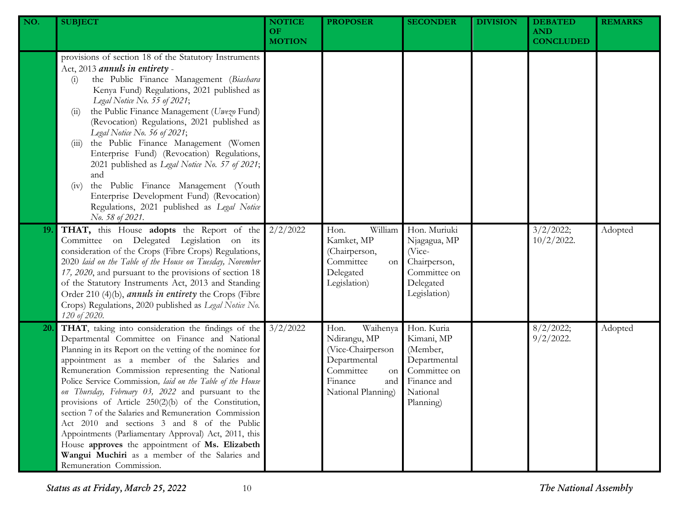| NO. | <b>SUBJECT</b>                                                                                                                                                                                                                                                                                                                                                                                                                                                                                                                                                                                                                                                                                                                                     | <b>NOTICE</b><br>OF.<br><b>MOTION</b> | <b>PROPOSER</b>                                                                                                                  | <b>SECONDER</b>                                                                                              | <b>DIVISION</b> | <b>DEBATED</b><br><b>AND</b><br><b>CONCLUDED</b> | <b>REMARKS</b> |
|-----|----------------------------------------------------------------------------------------------------------------------------------------------------------------------------------------------------------------------------------------------------------------------------------------------------------------------------------------------------------------------------------------------------------------------------------------------------------------------------------------------------------------------------------------------------------------------------------------------------------------------------------------------------------------------------------------------------------------------------------------------------|---------------------------------------|----------------------------------------------------------------------------------------------------------------------------------|--------------------------------------------------------------------------------------------------------------|-----------------|--------------------------------------------------|----------------|
|     | provisions of section 18 of the Statutory Instruments<br>Act, 2013 annuls in entirety -<br>the Public Finance Management (Biashara<br>(i)<br>Kenya Fund) Regulations, 2021 published as<br>Legal Notice No. 55 of 2021;<br>the Public Finance Management (Uwezo Fund)<br>(11)<br>(Revocation) Regulations, 2021 published as<br>Legal Notice No. 56 of 2021;<br>the Public Finance Management (Women<br>(111)<br>Enterprise Fund) (Revocation) Regulations,<br>2021 published as Legal Notice No. 57 of 2021;<br>and<br>the Public Finance Management (Youth<br>(iv)<br>Enterprise Development Fund) (Revocation)<br>Regulations, 2021 published as Legal Notice<br>No. 58 of 2021.                                                                |                                       |                                                                                                                                  |                                                                                                              |                 |                                                  |                |
| 19. | THAT, this House adopts the Report of the<br>Committee on Delegated Legislation on its<br>consideration of the Crops (Fibre Crops) Regulations,<br>2020 laid on the Table of the House on Tuesday, November<br>17, 2020, and pursuant to the provisions of section 18<br>of the Statutory Instruments Act, 2013 and Standing<br>Order 210 (4)(b), <i>annuls in entirety</i> the Crops (Fibre<br>Crops) Regulations, 2020 published as Legal Notice No.<br>120 of 2020.                                                                                                                                                                                                                                                                             | 2/2/2022                              | William<br>Hon.<br>Kamket, MP<br>(Chairperson,<br>Committee<br>on<br>Delegated<br>Legislation)                                   | Hon. Muriuki<br>Njagagua, MP<br>(Vice-<br>Chairperson,<br>Committee on<br>Delegated<br>Legislation)          |                 | 3/2/2022;<br>$10/2/2022$ .                       | Adopted        |
| 20. | THAT, taking into consideration the findings of the<br>Departmental Committee on Finance and National<br>Planning in its Report on the vetting of the nominee for<br>appointment as a member of the Salaries and<br>Remuneration Commission representing the National<br>Police Service Commission, laid on the Table of the House<br>on Thursday, February 03, 2022 and pursuant to the<br>provisions of Article 250(2)(b) of the Constitution,<br>section 7 of the Salaries and Remuneration Commission<br>Act 2010 and sections 3 and 8 of the Public<br>Appointments (Parliamentary Approval) Act, 2011, this<br>House approves the appointment of Ms. Elizabeth<br>Wangui Muchiri as a member of the Salaries and<br>Remuneration Commission. | 3/2/2022                              | Waihenya<br>Hon.<br>Ndirangu, MP<br>(Vice-Chairperson<br>Departmental<br>Committee<br>on<br>Finance<br>and<br>National Planning) | Hon. Kuria<br>Kimani, MP<br>(Member,<br>Departmental<br>Committee on<br>Finance and<br>National<br>Planning) |                 | 8/2/2022;<br>$9/2/2022$ .                        | Adopted        |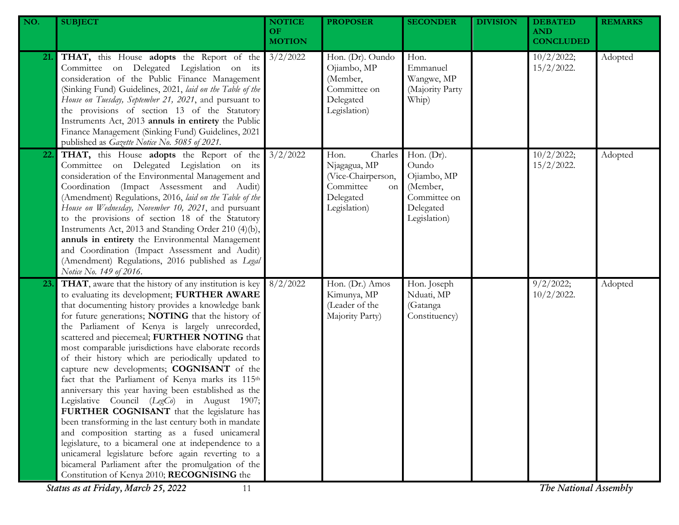| NO. | <b>SUBJECT</b>                                                                                                                                                                                                                                                                                                                                                                                                                                                                                                                                                                                                                                                                                                                                                                                                                                                                                                                                                                                                           | <b>NOTICE</b><br>OF.<br><b>MOTION</b> | <b>PROPOSER</b>                                                                                              | <b>SECONDER</b>                                                                                | <b>DIVISION</b> | <b>DEBATED</b><br><b>AND</b><br><b>CONCLUDED</b> | <b>REMARKS</b> |
|-----|--------------------------------------------------------------------------------------------------------------------------------------------------------------------------------------------------------------------------------------------------------------------------------------------------------------------------------------------------------------------------------------------------------------------------------------------------------------------------------------------------------------------------------------------------------------------------------------------------------------------------------------------------------------------------------------------------------------------------------------------------------------------------------------------------------------------------------------------------------------------------------------------------------------------------------------------------------------------------------------------------------------------------|---------------------------------------|--------------------------------------------------------------------------------------------------------------|------------------------------------------------------------------------------------------------|-----------------|--------------------------------------------------|----------------|
| 21. | <b>THAT,</b> this House <b>adopts</b> the Report of the 3/2/2022<br>Committee on Delegated Legislation on its<br>consideration of the Public Finance Management<br>(Sinking Fund) Guidelines, 2021, laid on the Table of the<br>House on Tuesday, September 21, 2021, and pursuant to<br>the provisions of section 13 of the Statutory<br>Instruments Act, 2013 annuls in entirety the Public<br>Finance Management (Sinking Fund) Guidelines, 2021<br>published as Gazette Notice No. 5085 of 2021.                                                                                                                                                                                                                                                                                                                                                                                                                                                                                                                     |                                       | Hon. (Dr). Oundo<br>Ojiambo, MP<br>(Member,<br>Committee on<br>Delegated<br>Legislation)                     | Hon.<br>Emmanuel<br>Wangwe, MP<br>(Majority Party<br>Whip)                                     |                 | 10/2/2022;<br>$15/2/2022$ .                      | Adopted        |
| 22. | <b>THAT,</b> this House <b>adopts</b> the Report of the 3/2/2022<br>Committee on Delegated Legislation on its<br>consideration of the Environmental Management and<br>Coordination (Impact Assessment and Audit)<br>(Amendment) Regulations, 2016, laid on the Table of the<br>House on Wednesday, November 10, 2021, and pursuant<br>to the provisions of section 18 of the Statutory<br>Instruments Act, 2013 and Standing Order 210 (4)(b),<br>annuls in entirety the Environmental Management<br>and Coordination (Impact Assessment and Audit)<br>(Amendment) Regulations, 2016 published as Legal<br>Notice No. 149 of 2016.                                                                                                                                                                                                                                                                                                                                                                                       |                                       | Charles<br>Hon.<br>Njagagua, MP<br>(Vice-Chairperson,<br>Committee<br><b>on</b><br>Delegated<br>Legislation) | Hon. $(Dr)$ .<br>Oundo<br>Ojiambo, MP<br>(Member,<br>Committee on<br>Delegated<br>Legislation) |                 | 10/2/2022;<br>$15/2/2022$ .                      | Adopted        |
| 23. | THAT, aware that the history of any institution is key<br>to evaluating its development; FURTHER AWARE<br>that documenting history provides a knowledge bank<br>for future generations; NOTING that the history of<br>the Parliament of Kenya is largely unrecorded,<br>scattered and piecemeal; FURTHER NOTING that<br>most comparable jurisdictions have elaborate records<br>of their history which are periodically updated to<br>capture new developments; COGNISANT of the<br>fact that the Parliament of Kenya marks its 115th<br>anniversary this year having been established as the<br>Legislative Council (LegCo) in August 1907;<br>FURTHER COGNISANT that the legislature has<br>been transforming in the last century both in mandate<br>and composition starting as a fused unicameral<br>legislature, to a bicameral one at independence to a<br>unicameral legislature before again reverting to a<br>bicameral Parliament after the promulgation of the<br>Constitution of Kenya 2010; RECOGNISING the | 8/2/2022                              | Hon. (Dr.) Amos<br>Kimunya, MP<br>(Leader of the<br>Majority Party)                                          | Hon. Joseph<br>Nduati, MP<br>(Gatanga<br>Constituency)                                         |                 | 9/2/2022;<br>$10/2/2022$ .                       | Adopted        |

*Status as at Friday, March 25, 2022* 11 *The National Assembly*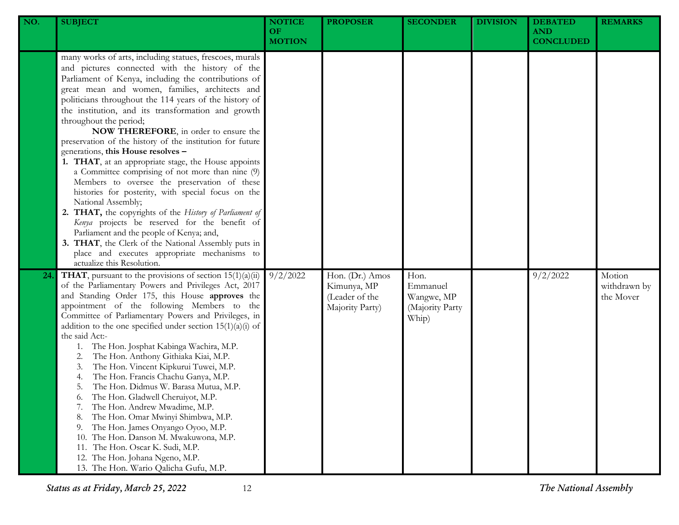| NO. | <b>SUBJECT</b>                                                                                                                                                                                                                                                                                                                                                                                                                                                                                                                                                                                                                                                                                                                                                                                                                                                                                                                                                                                                                                | <b>NOTICE</b><br>OF.<br><b>MOTION</b> | <b>PROPOSER</b>                                                     | <b>SECONDER</b>                                            | <b>DIVISION</b> | <b>DEBATED</b><br><b>AND</b><br><b>CONCLUDED</b> | <b>REMARKS</b>                      |
|-----|-----------------------------------------------------------------------------------------------------------------------------------------------------------------------------------------------------------------------------------------------------------------------------------------------------------------------------------------------------------------------------------------------------------------------------------------------------------------------------------------------------------------------------------------------------------------------------------------------------------------------------------------------------------------------------------------------------------------------------------------------------------------------------------------------------------------------------------------------------------------------------------------------------------------------------------------------------------------------------------------------------------------------------------------------|---------------------------------------|---------------------------------------------------------------------|------------------------------------------------------------|-----------------|--------------------------------------------------|-------------------------------------|
|     | many works of arts, including statues, frescoes, murals<br>and pictures connected with the history of the<br>Parliament of Kenya, including the contributions of<br>great mean and women, families, architects and<br>politicians throughout the 114 years of the history of<br>the institution, and its transformation and growth<br>throughout the period;<br>NOW THEREFORE, in order to ensure the<br>preservation of the history of the institution for future<br>generations, this House resolves -<br>1. THAT, at an appropriate stage, the House appoints<br>a Committee comprising of not more than nine (9)<br>Members to oversee the preservation of these<br>histories for posterity, with special focus on the<br>National Assembly;<br>2. THAT, the copyrights of the History of Parliament of<br>Kenya projects be reserved for the benefit of<br>Parliament and the people of Kenya; and,<br>3. THAT, the Clerk of the National Assembly puts in<br>place and executes appropriate mechanisms to<br>actualize this Resolution. |                                       |                                                                     |                                                            |                 |                                                  |                                     |
| 24  | <b>THAT</b> , pursuant to the provisions of section $15(1)(a)(ii)$<br>of the Parliamentary Powers and Privileges Act, 2017<br>and Standing Order 175, this House approves the<br>appointment of the following Members to the<br>Committee of Parliamentary Powers and Privileges, in<br>addition to the one specified under section $15(1)(a)(i)$ of<br>the said Act:-<br>The Hon. Josphat Kabinga Wachira, M.P.<br>1.<br>The Hon. Anthony Githiaka Kiai, M.P.<br>2.<br>The Hon. Vincent Kipkurui Tuwei, M.P.<br>3.<br>The Hon. Francis Chachu Ganya, M.P.<br>4.<br>The Hon. Didmus W. Barasa Mutua, M.P.<br>5.<br>The Hon. Gladwell Cheruiyot, M.P.<br>6.<br>The Hon. Andrew Mwadime, M.P.<br>7.<br>The Hon. Omar Mwinyi Shimbwa, M.P.<br>8.<br>The Hon. James Onyango Oyoo, M.P.<br>9.<br>The Hon. Danson M. Mwakuwona, M.P.<br>10.<br>The Hon. Oscar K. Sudi, M.P.<br>11.<br>The Hon. Johana Ngeno, M.P.<br>12.<br>13. The Hon. Wario Qalicha Gufu, M.P.                                                                                   | 9/2/2022                              | Hon. (Dr.) Amos<br>Kimunya, MP<br>(Leader of the<br>Majority Party) | Hon.<br>Emmanuel<br>Wangwe, MP<br>(Majority Party<br>Whip) |                 | 9/2/2022                                         | Motion<br>withdrawn by<br>the Mover |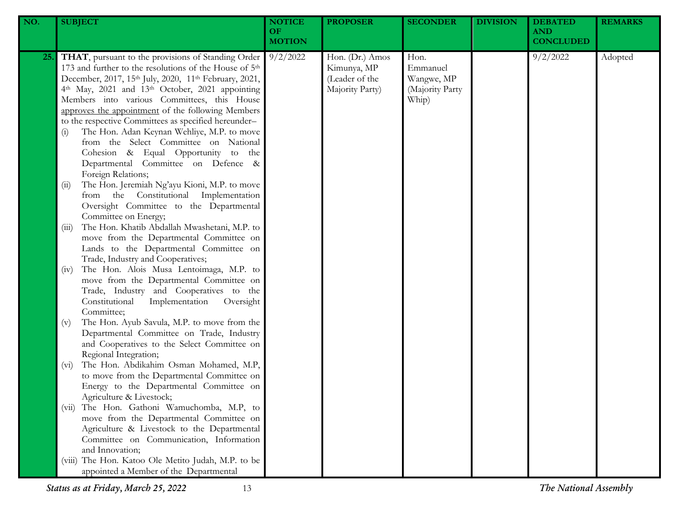| NO. | <b>SUBJECT</b>                                                                                                                                                                                                                                                                                                                                                                                                                                                                                                                                                                                                                                            | <b>NOTICE</b><br>OF<br><b>MOTION</b> | <b>PROPOSER</b>                                                     | <b>SECONDER</b>                                            | <b>DIVISION</b> | <b>DEBATED</b><br><b>AND</b><br><b>CONCLUDED</b> | <b>REMARKS</b> |
|-----|-----------------------------------------------------------------------------------------------------------------------------------------------------------------------------------------------------------------------------------------------------------------------------------------------------------------------------------------------------------------------------------------------------------------------------------------------------------------------------------------------------------------------------------------------------------------------------------------------------------------------------------------------------------|--------------------------------------|---------------------------------------------------------------------|------------------------------------------------------------|-----------------|--------------------------------------------------|----------------|
| 25. | THAT, pursuant to the provisions of Standing Order<br>173 and further to the resolutions of the House of 5 <sup>th</sup><br>December, 2017, 15th July, 2020, 11th February, 2021,<br>4th May, 2021 and 13th October, 2021 appointing<br>Members into various Committees, this House<br>approves the appointment of the following Members<br>to the respective Committees as specified hereunder-<br>The Hon. Adan Keynan Wehliye, M.P. to move<br>(i)<br>from the Select Committee on National<br>Cohesion & Equal Opportunity to the<br>Departmental Committee on Defence &<br>Foreign Relations;<br>The Hon. Jeremiah Ng'ayu Kioni, M.P. to move<br>(i) | 9/2/2022                             | Hon. (Dr.) Amos<br>Kimunya, MP<br>(Leader of the<br>Majority Party) | Hon.<br>Emmanuel<br>Wangwe, MP<br>(Majority Party<br>Whip) |                 | 9/2/2022                                         | Adopted        |
|     | from the Constitutional Implementation<br>Oversight Committee to the Departmental<br>Committee on Energy;<br>The Hon. Khatib Abdallah Mwashetani, M.P. to<br>(iii)<br>move from the Departmental Committee on<br>Lands to the Departmental Committee on<br>Trade, Industry and Cooperatives;                                                                                                                                                                                                                                                                                                                                                              |                                      |                                                                     |                                                            |                 |                                                  |                |
|     | The Hon. Alois Musa Lentoimaga, M.P. to<br>(iv)<br>move from the Departmental Committee on<br>Trade, Industry and Cooperatives to the<br>Constitutional<br>Implementation<br>Oversight<br>Committee;                                                                                                                                                                                                                                                                                                                                                                                                                                                      |                                      |                                                                     |                                                            |                 |                                                  |                |
|     | The Hon. Ayub Savula, M.P. to move from the<br>(v)<br>Departmental Committee on Trade, Industry<br>and Cooperatives to the Select Committee on<br>Regional Integration;<br>The Hon. Abdikahim Osman Mohamed, M.P,<br>$(v_i)$<br>to move from the Departmental Committee on                                                                                                                                                                                                                                                                                                                                                                                |                                      |                                                                     |                                                            |                 |                                                  |                |
|     | Energy to the Departmental Committee on<br>Agriculture & Livestock;<br>The Hon. Gathoni Wamuchomba, M.P, to<br>(V11)<br>move from the Departmental Committee on<br>Agriculture & Livestock to the Departmental                                                                                                                                                                                                                                                                                                                                                                                                                                            |                                      |                                                                     |                                                            |                 |                                                  |                |
|     | Committee on Communication, Information<br>and Innovation;<br>(viii) The Hon. Katoo Ole Metito Judah, M.P. to be<br>appointed a Member of the Departmental                                                                                                                                                                                                                                                                                                                                                                                                                                                                                                |                                      |                                                                     |                                                            |                 |                                                  |                |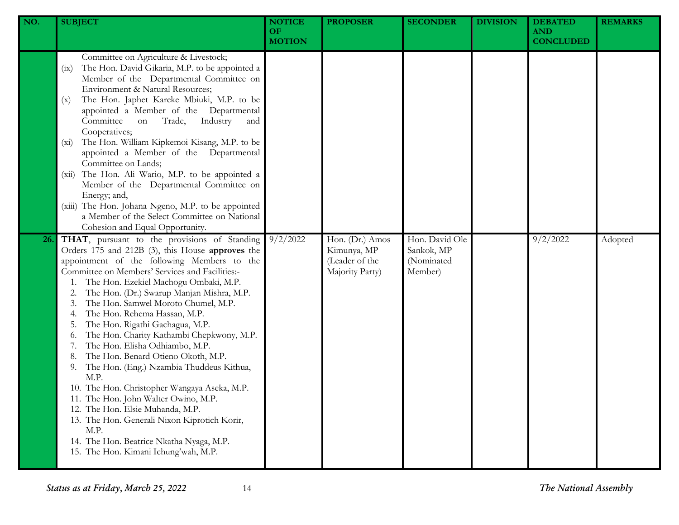| NO. | <b>SUBJECT</b>                                                                                                                                                                                                                                                                                                                                                                                                                                                                                                                                                                                                                                                                                                                                                                                                                                                  | <b>NOTICE</b><br><b>OF</b><br><b>MOTION</b> | <b>PROPOSER</b>                                                     | <b>SECONDER</b>                                       | <b>DIVISION</b> | <b>DEBATED</b><br><b>AND</b><br><b>CONCLUDED</b> | <b>REMARKS</b> |
|-----|-----------------------------------------------------------------------------------------------------------------------------------------------------------------------------------------------------------------------------------------------------------------------------------------------------------------------------------------------------------------------------------------------------------------------------------------------------------------------------------------------------------------------------------------------------------------------------------------------------------------------------------------------------------------------------------------------------------------------------------------------------------------------------------------------------------------------------------------------------------------|---------------------------------------------|---------------------------------------------------------------------|-------------------------------------------------------|-----------------|--------------------------------------------------|----------------|
|     | Committee on Agriculture & Livestock;<br>The Hon. David Gikaria, M.P. to be appointed a<br>(ix)<br>Member of the Departmental Committee on<br>Environment & Natural Resources;<br>The Hon. Japhet Kareke Mbiuki, M.P. to be<br>(x)<br>appointed a Member of the Departmental<br>Committee<br>Industry<br>Trade,<br>on<br>and<br>Cooperatives;<br>The Hon. William Kipkemoi Kisang, M.P. to be<br>$(x_i)$<br>appointed a Member of the Departmental<br>Committee on Lands;<br>The Hon. Ali Wario, M.P. to be appointed a<br>(xii)<br>Member of the Departmental Committee on<br>Energy; and,<br>(xiii) The Hon. Johana Ngeno, M.P. to be appointed<br>a Member of the Select Committee on National<br>Cohesion and Equal Opportunity.                                                                                                                            |                                             |                                                                     |                                                       |                 |                                                  |                |
| 26. | THAT, pursuant to the provisions of Standing<br>Orders 175 and 212B (3), this House approves the<br>appointment of the following Members to the<br>Committee on Members' Services and Facilities:-<br>The Hon. Ezekiel Machogu Ombaki, M.P.<br>The Hon. (Dr.) Swarup Manjan Mishra, M.P.<br>The Hon. Samwel Moroto Chumel, M.P.<br>The Hon. Rehema Hassan, M.P.<br>The Hon. Rigathi Gachagua, M.P.<br>The Hon. Charity Kathambi Chepkwony, M.P.<br>0.<br>The Hon. Elisha Odhiambo, M.P.<br>The Hon. Benard Otieno Okoth, M.P.<br>The Hon. (Eng.) Nzambia Thuddeus Kithua,<br>9.<br>M.P.<br>10. The Hon. Christopher Wangaya Aseka, M.P.<br>11. The Hon. John Walter Owino, M.P.<br>12. The Hon. Elsie Muhanda, M.P.<br>13. The Hon. Generali Nixon Kiprotich Korir,<br>M.P.<br>14. The Hon. Beatrice Nkatha Nyaga, M.P.<br>15. The Hon. Kimani Ichung'wah, M.P. | 9/2/2022                                    | Hon. (Dr.) Amos<br>Kimunya, MP<br>(Leader of the<br>Majority Party) | Hon. David Ole<br>Sankok, MP<br>(Nominated<br>Member) |                 | 9/2/2022                                         | Adopted        |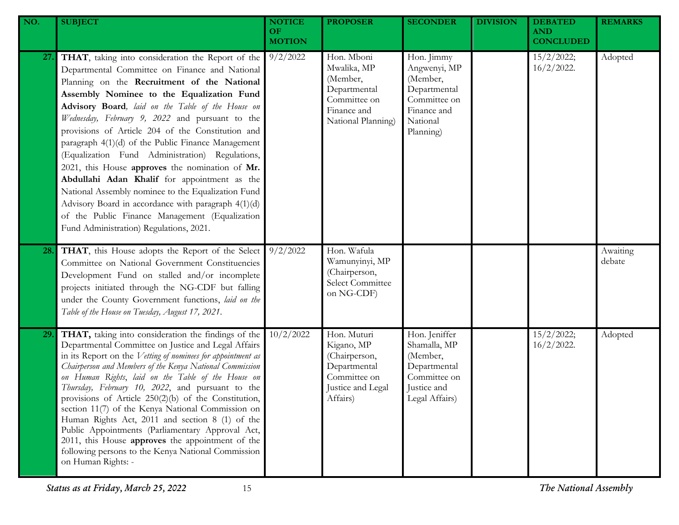| NO. | <b>SUBJECT</b>                                                                                                                                                                                                                                                                                                                                                                                                                                                                                                                                                                                                                                                                                                                                                                     | <b>NOTICE</b><br>OF.<br><b>MOTION</b> | <b>PROPOSER</b>                                                                                             | <b>SECONDER</b>                                                                                                | <b>DIVISION</b> | <b>DEBATED</b><br><b>AND</b><br><b>CONCLUDED</b> | <b>REMARKS</b>     |
|-----|------------------------------------------------------------------------------------------------------------------------------------------------------------------------------------------------------------------------------------------------------------------------------------------------------------------------------------------------------------------------------------------------------------------------------------------------------------------------------------------------------------------------------------------------------------------------------------------------------------------------------------------------------------------------------------------------------------------------------------------------------------------------------------|---------------------------------------|-------------------------------------------------------------------------------------------------------------|----------------------------------------------------------------------------------------------------------------|-----------------|--------------------------------------------------|--------------------|
| 27. | THAT, taking into consideration the Report of the<br>Departmental Committee on Finance and National<br>Planning on the Recruitment of the National<br>Assembly Nominee to the Equalization Fund<br>Advisory Board, laid on the Table of the House on<br>Wednesday, February 9, 2022 and pursuant to the<br>provisions of Article 204 of the Constitution and<br>paragraph 4(1)(d) of the Public Finance Management<br>(Equalization Fund Administration) Regulations,<br>2021, this House approves the nomination of Mr.<br>Abdullahi Adan Khalif for appointment as the<br>National Assembly nominee to the Equalization Fund<br>Advisory Board in accordance with paragraph 4(1)(d)<br>of the Public Finance Management (Equalization<br>Fund Administration) Regulations, 2021. | 9/2/2022                              | Hon. Mboni<br>Mwalika, MP<br>(Member,<br>Departmental<br>Committee on<br>Finance and<br>National Planning)  | Hon. Jimmy<br>Angwenyi, MP<br>(Member,<br>Departmental<br>Committee on<br>Finance and<br>National<br>Planning) |                 | 15/2/2022;<br>$16/2/2022$ .                      | Adopted            |
| 28. | THAT, this House adopts the Report of the Select<br>Committee on National Government Constituencies<br>Development Fund on stalled and/or incomplete<br>projects initiated through the NG-CDF but falling<br>under the County Government functions, laid on the<br>Table of the House on Tuesday, August 17, 2021.                                                                                                                                                                                                                                                                                                                                                                                                                                                                 | 9/2/2022                              | Hon. Wafula<br>Wamunyinyi, MP<br>(Chairperson,<br>Select Committee<br>on NG-CDF)                            |                                                                                                                |                 |                                                  | Awaiting<br>debate |
| 29. | THAT, taking into consideration the findings of the<br>Departmental Committee on Justice and Legal Affairs<br>in its Report on the Vetting of nominees for appointment as<br>Chairperson and Members of the Kenya National Commission<br>on Human Rights, laid on the Table of the House on<br>Thursday, February 10, 2022, and pursuant to the<br>provisions of Article 250(2)(b) of the Constitution,<br>section 11(7) of the Kenya National Commission on<br>Human Rights Act, 2011 and section 8 (1) of the<br>Public Appointments (Parliamentary Approval Act,<br>2011, this House approves the appointment of the<br>following persons to the Kenya National Commission<br>on Human Rights: -                                                                                | 10/2/2022                             | Hon. Muturi<br>Kigano, MP<br>(Chairperson,<br>Departmental<br>Committee on<br>Justice and Legal<br>Affairs) | Hon. Jeniffer<br>Shamalla, MP<br>(Member,<br>Departmental<br>Committee on<br>Justice and<br>Legal Affairs)     |                 | 15/2/2022;<br>$16/2/2022$ .                      | Adopted            |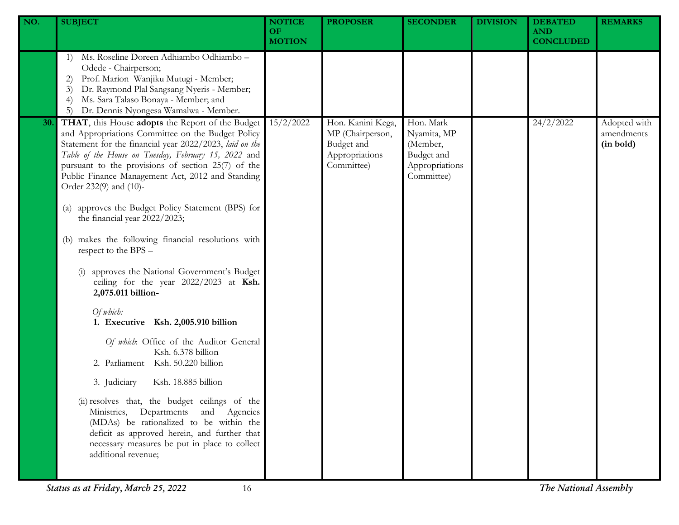| NO. | <b>SUBJECT</b>                                                                                                                                                                                                                                                                                                                                               | <b>NOTICE</b><br><b>OF</b><br><b>MOTION</b> | <b>PROPOSER</b>                                                                     | <b>SECONDER</b>                                                                    | <b>DIVISION</b> | <b>DEBATED</b><br><b>AND</b><br><b>CONCLUDED</b> | <b>REMARKS</b>                          |
|-----|--------------------------------------------------------------------------------------------------------------------------------------------------------------------------------------------------------------------------------------------------------------------------------------------------------------------------------------------------------------|---------------------------------------------|-------------------------------------------------------------------------------------|------------------------------------------------------------------------------------|-----------------|--------------------------------------------------|-----------------------------------------|
|     | Ms. Roseline Doreen Adhiambo Odhiambo -<br>1)<br>Odede - Chairperson;<br>Prof. Marion Wanjiku Mutugi - Member;<br>2)<br>Dr. Raymond Plal Sangsang Nyeris - Member;<br>3)<br>Ms. Sara Talaso Bonaya - Member; and<br>$\left(4\right)$<br>Dr. Dennis Nyongesa Wamalwa - Member.<br>5)                                                                          |                                             |                                                                                     |                                                                                    |                 |                                                  |                                         |
| 30. | THAT, this House adopts the Report of the Budget<br>and Appropriations Committee on the Budget Policy<br>Statement for the financial year 2022/2023, laid on the<br>Table of the House on Tuesday, February 15, 2022 and<br>pursuant to the provisions of section 25(7) of the<br>Public Finance Management Act, 2012 and Standing<br>Order 232(9) and (10)- | 15/2/2022                                   | Hon. Kanini Kega,<br>MP (Chairperson,<br>Budget and<br>Appropriations<br>Committee) | Hon. Mark<br>Nyamita, MP<br>(Member,<br>Budget and<br>Appropriations<br>Committee) |                 | 24/2/2022                                        | Adopted with<br>amendments<br>(in bold) |
|     | approves the Budget Policy Statement (BPS) for<br>$\left( a\right)$<br>the financial year 2022/2023;                                                                                                                                                                                                                                                         |                                             |                                                                                     |                                                                                    |                 |                                                  |                                         |
|     | makes the following financial resolutions with<br>(b)<br>respect to the BPS -                                                                                                                                                                                                                                                                                |                                             |                                                                                     |                                                                                    |                 |                                                  |                                         |
|     | approves the National Government's Budget<br>ceiling for the year 2022/2023 at Ksh.<br>2,075.011 billion-                                                                                                                                                                                                                                                    |                                             |                                                                                     |                                                                                    |                 |                                                  |                                         |
|     | Of which:<br>1. Executive Ksh. 2,005.910 billion                                                                                                                                                                                                                                                                                                             |                                             |                                                                                     |                                                                                    |                 |                                                  |                                         |
|     | Of which: Office of the Auditor General<br>Ksh. 6.378 billion<br>2. Parliament Ksh. 50.220 billion                                                                                                                                                                                                                                                           |                                             |                                                                                     |                                                                                    |                 |                                                  |                                         |
|     | 3. Judiciary<br>Ksh. 18.885 billion                                                                                                                                                                                                                                                                                                                          |                                             |                                                                                     |                                                                                    |                 |                                                  |                                         |
|     | (ii) resolves that, the budget ceilings of the<br>Ministries, Departments and Agencies<br>(MDAs) be rationalized to be within the<br>deficit as approved herein, and further that<br>necessary measures be put in place to collect<br>additional revenue;                                                                                                    |                                             |                                                                                     |                                                                                    |                 |                                                  |                                         |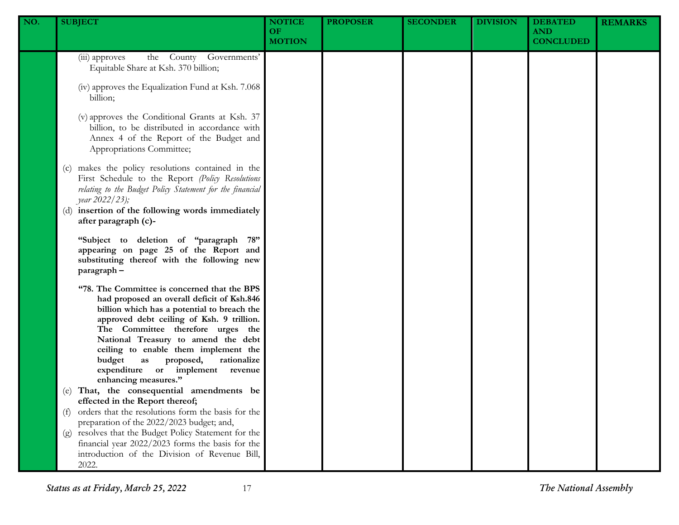| NO. | <b>SUBJECT</b>                                                                                                                                                                                                                                                                                                                                                                                                     | <b>NOTICE</b><br><b>OF</b><br><b>MOTION</b> | <b>PROPOSER</b> | <b>SECONDER</b> | <b>DIVISION</b> | <b>DEBATED</b><br><b>AND</b><br><b>CONCLUDED</b> | <b>REMARKS</b> |
|-----|--------------------------------------------------------------------------------------------------------------------------------------------------------------------------------------------------------------------------------------------------------------------------------------------------------------------------------------------------------------------------------------------------------------------|---------------------------------------------|-----------------|-----------------|-----------------|--------------------------------------------------|----------------|
|     | the County Governments'<br>(iii) approves<br>Equitable Share at Ksh. 370 billion;                                                                                                                                                                                                                                                                                                                                  |                                             |                 |                 |                 |                                                  |                |
|     | (iv) approves the Equalization Fund at Ksh. 7.068<br>billion;                                                                                                                                                                                                                                                                                                                                                      |                                             |                 |                 |                 |                                                  |                |
|     | (v) approves the Conditional Grants at Ksh. 37<br>billion, to be distributed in accordance with<br>Annex 4 of the Report of the Budget and<br>Appropriations Committee;                                                                                                                                                                                                                                            |                                             |                 |                 |                 |                                                  |                |
|     | (c) makes the policy resolutions contained in the<br>First Schedule to the Report (Policy Resolutions<br>relating to the Budget Policy Statement for the financial<br>year 2022/23);<br>(d) insertion of the following words immediately<br>after paragraph (c)-                                                                                                                                                   |                                             |                 |                 |                 |                                                  |                |
|     | "Subject to deletion of "paragraph 78"<br>appearing on page 25 of the Report and<br>substituting thereof with the following new<br>paragraph-                                                                                                                                                                                                                                                                      |                                             |                 |                 |                 |                                                  |                |
|     | "78. The Committee is concerned that the BPS<br>had proposed an overall deficit of Ksh.846<br>billion which has a potential to breach the<br>approved debt ceiling of Ksh. 9 trillion.<br>The Committee therefore urges the<br>National Treasury to amend the debt<br>ceiling to enable them implement the<br>budget<br>rationalize<br>as<br>proposed,<br>expenditure or implement revenue<br>enhancing measures." |                                             |                 |                 |                 |                                                  |                |
|     | (e) That, the consequential amendments be<br>effected in the Report thereof;                                                                                                                                                                                                                                                                                                                                       |                                             |                 |                 |                 |                                                  |                |
|     | orders that the resolutions form the basis for the<br>(f)<br>preparation of the 2022/2023 budget; and,                                                                                                                                                                                                                                                                                                             |                                             |                 |                 |                 |                                                  |                |
|     | (g) resolves that the Budget Policy Statement for the<br>financial year 2022/2023 forms the basis for the<br>introduction of the Division of Revenue Bill,<br>2022.                                                                                                                                                                                                                                                |                                             |                 |                 |                 |                                                  |                |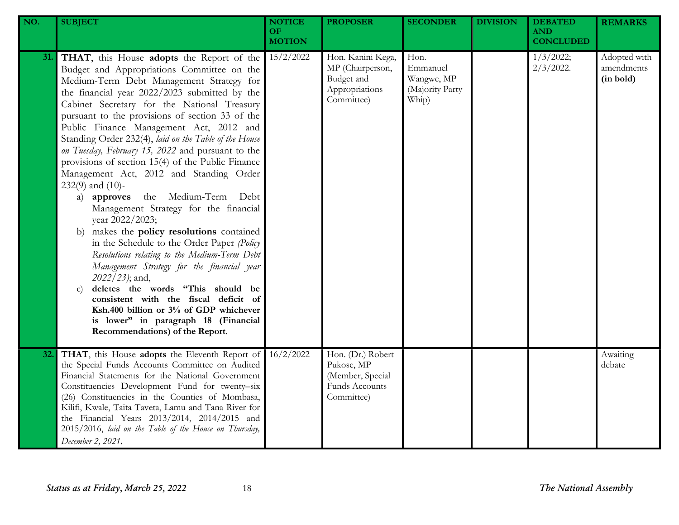| NO. | <b>SUBJECT</b>                                                                                                                                                                                                                                                                                                                                                                                                                                                                                                                                                                                                                                                                                                                                                                                                                                                                                                                                                                                                                                                                                               | <b>NOTICE</b><br><b>OF</b><br><b>MOTION</b> | <b>PROPOSER</b>                                                                     | <b>SECONDER</b>                                            | <b>DIVISION</b> | <b>DEBATED</b><br><b>AND</b><br><b>CONCLUDED</b> | <b>REMARKS</b>                          |
|-----|--------------------------------------------------------------------------------------------------------------------------------------------------------------------------------------------------------------------------------------------------------------------------------------------------------------------------------------------------------------------------------------------------------------------------------------------------------------------------------------------------------------------------------------------------------------------------------------------------------------------------------------------------------------------------------------------------------------------------------------------------------------------------------------------------------------------------------------------------------------------------------------------------------------------------------------------------------------------------------------------------------------------------------------------------------------------------------------------------------------|---------------------------------------------|-------------------------------------------------------------------------------------|------------------------------------------------------------|-----------------|--------------------------------------------------|-----------------------------------------|
| 31. | THAT, this House adopts the Report of the<br>Budget and Appropriations Committee on the<br>Medium-Term Debt Management Strategy for<br>the financial year 2022/2023 submitted by the<br>Cabinet Secretary for the National Treasury<br>pursuant to the provisions of section 33 of the<br>Public Finance Management Act, 2012 and<br>Standing Order 232(4), laid on the Table of the House<br>on Tuesday, February 15, 2022 and pursuant to the<br>provisions of section 15(4) of the Public Finance<br>Management Act, 2012 and Standing Order<br>$232(9)$ and $(10)$ -<br>the Medium-Term Debt<br>a) approves<br>Management Strategy for the financial<br>year 2022/2023;<br>makes the policy resolutions contained<br>b)<br>in the Schedule to the Order Paper (Policy<br>Resolutions relating to the Medium-Term Debt<br>Management Strategy for the financial year<br>2022/23); and,<br>deletes the words "This should be<br>$\mathbf{C}$<br>consistent with the fiscal deficit of<br>Ksh.400 billion or 3% of GDP whichever<br>is lower" in paragraph 18 (Financial<br>Recommendations) of the Report. | 15/2/2022                                   | Hon. Kanini Kega,<br>MP (Chairperson,<br>Budget and<br>Appropriations<br>Committee) | Hon.<br>Emmanuel<br>Wangwe, MP<br>(Majority Party<br>Whip) |                 | 1/3/2022;<br>$2/3/2022$ .                        | Adopted with<br>amendments<br>(in bold) |
| 32. | THAT, this House adopts the Eleventh Report of<br>the Special Funds Accounts Committee on Audited<br>Financial Statements for the National Government<br>Constituencies Development Fund for twenty-six<br>(26) Constituencies in the Counties of Mombasa,<br>Kilifi, Kwale, Taita Taveta, Lamu and Tana River for<br>the Financial Years 2013/2014, 2014/2015 and<br>2015/2016, laid on the Table of the House on Thursday,<br>December 2, 2021.                                                                                                                                                                                                                                                                                                                                                                                                                                                                                                                                                                                                                                                            | 16/2/2022                                   | Hon. (Dr.) Robert<br>Pukose, MP<br>(Member, Special<br>Funds Accounts<br>Committee) |                                                            |                 |                                                  | Awaiting<br>debate                      |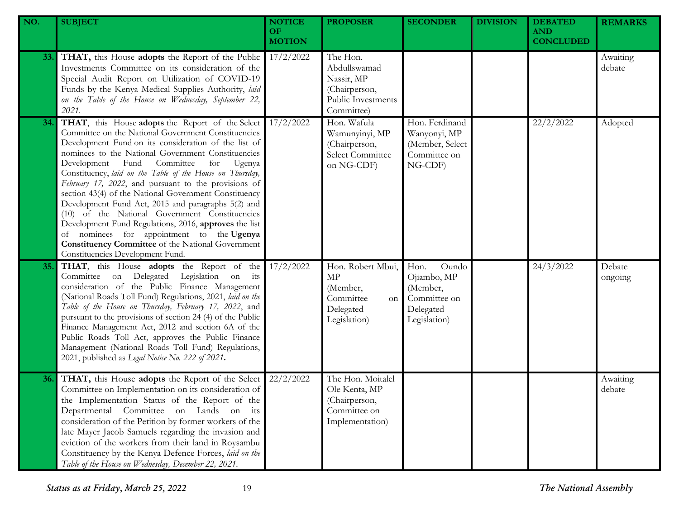| NO. | <b>SUBJECT</b>                                                                                                                                                                                                                                                                                                                                                                                                                                                                                                                                                                                                                                                                                                                                                   | <b>NOTICE</b><br><b>OF</b><br><b>MOTION</b> | <b>PROPOSER</b>                                                                             | <b>SECONDER</b>                                                                       | <b>DIVISION</b> | <b>DEBATED</b><br><b>AND</b><br><b>CONCLUDED</b> | <b>REMARKS</b>     |
|-----|------------------------------------------------------------------------------------------------------------------------------------------------------------------------------------------------------------------------------------------------------------------------------------------------------------------------------------------------------------------------------------------------------------------------------------------------------------------------------------------------------------------------------------------------------------------------------------------------------------------------------------------------------------------------------------------------------------------------------------------------------------------|---------------------------------------------|---------------------------------------------------------------------------------------------|---------------------------------------------------------------------------------------|-----------------|--------------------------------------------------|--------------------|
| 33. | THAT, this House adopts the Report of the Public<br>Investments Committee on its consideration of the<br>Special Audit Report on Utilization of COVID-19<br>Funds by the Kenya Medical Supplies Authority, laid<br>on the Table of the House on Wednesday, September 22,<br>2021.                                                                                                                                                                                                                                                                                                                                                                                                                                                                                | 17/2/2022                                   | The Hon.<br>Abdullswamad<br>Nassir, MP<br>(Chairperson,<br>Public Investments<br>Committee) |                                                                                       |                 |                                                  | Awaiting<br>debate |
| 34. | THAT, this House adopts the Report of the Select<br>Committee on the National Government Constituencies<br>Development Fund on its consideration of the list of<br>nominees to the National Government Constituencies<br>Development Fund Committee<br>for<br>Ugenya<br>Constituency, laid on the Table of the House on Thursday,<br>February 17, 2022, and pursuant to the provisions of<br>section 43(4) of the National Government Constituency<br>Development Fund Act, 2015 and paragraphs 5(2) and<br>(10) of the National Government Constituencies<br>Development Fund Regulations, 2016, approves the list<br>of nominees for appointment to the Ugenya<br><b>Constituency Committee</b> of the National Government<br>Constituencies Development Fund. | 17/2/2022                                   | Hon. Wafula<br>Wamunyinyi, MP<br>(Chairperson,<br>Select Committee<br>on NG-CDF)            | Hon. Ferdinand<br>Wanyonyi, MP<br>(Member, Select<br>Committee on<br>NG-CDF)          |                 | 22/2/2022                                        | Adopted            |
| 35. | THAT, this House adopts the Report of the<br>Committee on Delegated Legislation on its<br>consideration of the Public Finance Management<br>(National Roads Toll Fund) Regulations, 2021, laid on the<br>Table of the House on Thursday, February 17, 2022, and<br>pursuant to the provisions of section 24 (4) of the Public<br>Finance Management Act, 2012 and section 6A of the<br>Public Roads Toll Act, approves the Public Finance<br>Management (National Roads Toll Fund) Regulations,<br>2021, published as Legal Notice No. 222 of 2021.                                                                                                                                                                                                              | 17/2/2022                                   | Hon. Robert Mbui,<br>MP<br>(Member,<br>Committee<br>on<br>Delegated<br>Legislation)         | Hon.<br>Oundo<br>Ojiambo, MP<br>(Member,<br>Committee on<br>Delegated<br>Legislation) |                 | 24/3/2022                                        | Debate<br>ongoing  |
| 36. | THAT, this House adopts the Report of the Select<br>Committee on Implementation on its consideration of<br>the Implementation Status of the Report of the<br>Departmental Committee on Lands on its<br>consideration of the Petition by former workers of the<br>late Mayer Jacob Samuels regarding the invasion and<br>eviction of the workers from their land in Roysambu<br>Constituency by the Kenya Defence Forces, laid on the<br>Table of the House on Wednesday, December 22, 2021.                                                                                                                                                                                                                                                                      | 22/2/2022                                   | The Hon. Moitalel<br>Ole Kenta, MP<br>(Chairperson,<br>Committee on<br>Implementation)      |                                                                                       |                 |                                                  | Awaiting<br>debate |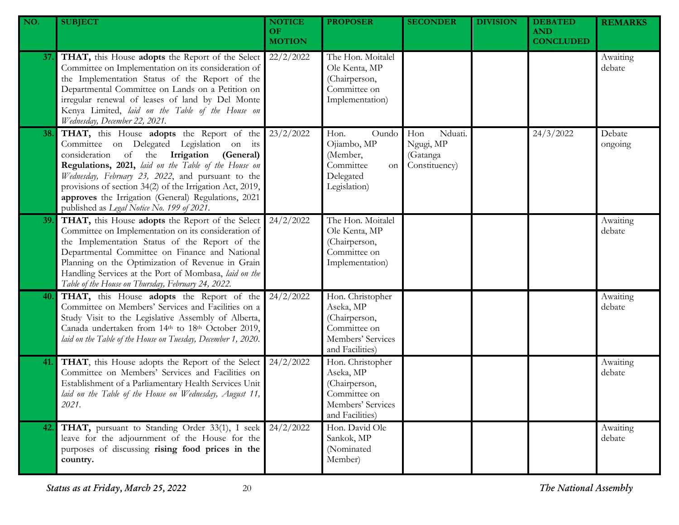| NO. | <b>SUBJECT</b>                                                                                                                                                                                                                                                                                                                                                                                                    | <b>NOTICE</b><br>OF.<br><b>MOTION</b> | <b>PROPOSER</b>                                                                                        | <b>SECONDER</b>                                          | <b>DIVISION</b> | <b>DEBATED</b><br><b>AND</b><br><b>CONCLUDED</b> | <b>REMARKS</b>     |
|-----|-------------------------------------------------------------------------------------------------------------------------------------------------------------------------------------------------------------------------------------------------------------------------------------------------------------------------------------------------------------------------------------------------------------------|---------------------------------------|--------------------------------------------------------------------------------------------------------|----------------------------------------------------------|-----------------|--------------------------------------------------|--------------------|
| 37. | THAT, this House adopts the Report of the Select<br>Committee on Implementation on its consideration of<br>the Implementation Status of the Report of the<br>Departmental Committee on Lands on a Petition on<br>irregular renewal of leases of land by Del Monte<br>Kenya Limited, laid on the Table of the House on<br>Wednesday, December 22, 2021.                                                            | 22/2/2022                             | The Hon. Moitalel<br>Ole Kenta, MP<br>(Chairperson,<br>Committee on<br>Implementation)                 |                                                          |                 |                                                  | Awaiting<br>debate |
| 38. | THAT, this House adopts the Report of the<br>Committee on Delegated Legislation on its<br>consideration of the Irrigation (General)<br>Regulations, 2021, laid on the Table of the House on<br>Wednesday, February 23, 2022, and pursuant to the<br>provisions of section 34(2) of the Irrigation Act, 2019,<br>approves the Irrigation (General) Regulations, 2021<br>published as Legal Notice No. 199 of 2021. | 23/2/2022                             | Hon.<br>Oundo<br>Ojiambo, MP<br>(Member,<br>Committee<br>on<br>Delegated<br>Legislation)               | Nduati.<br>Hon<br>Ngugi, MP<br>(Gatanga<br>Constituency) |                 | 24/3/2022                                        | Debate<br>ongoing  |
| 39. | THAT, this House adopts the Report of the Select<br>Committee on Implementation on its consideration of<br>the Implementation Status of the Report of the<br>Departmental Committee on Finance and National<br>Planning on the Optimization of Revenue in Grain<br>Handling Services at the Port of Mombasa, laid on the<br>Table of the House on Thursday, February 24, 2022.                                    | 24/2/2022                             | The Hon. Moitalel<br>Ole Kenta, MP<br>(Chairperson,<br>Committee on<br>Implementation)                 |                                                          |                 |                                                  | Awaiting<br>debate |
| 40. | THAT, this House adopts the Report of the<br>Committee on Members' Services and Facilities on a<br>Study Visit to the Legislative Assembly of Alberta,<br>Canada undertaken from 14th to 18th October 2019,<br>laid on the Table of the House on Tuesday, December 1, 2020.                                                                                                                                       | 24/2/2022                             | Hon. Christopher<br>Aseka, MP<br>(Chairperson,<br>Committee on<br>Members' Services<br>and Facilities) |                                                          |                 |                                                  | Awaiting<br>debate |
| 41. | THAT, this House adopts the Report of the Select<br>Committee on Members' Services and Facilities on<br>Establishment of a Parliamentary Health Services Unit<br>laid on the Table of the House on Wednesday, August 11,<br>2021.                                                                                                                                                                                 | 24/2/2022                             | Hon. Christopher<br>Aseka, MP<br>(Chairperson,<br>Committee on<br>Members' Services<br>and Facilities) |                                                          |                 |                                                  | Awaiting<br>debate |
| 42. | THAT, pursuant to Standing Order 33(1), I seek<br>leave for the adjournment of the House for the<br>purposes of discussing rising food prices in the<br>country.                                                                                                                                                                                                                                                  | 24/2/2022                             | Hon. David Ole<br>Sankok, MP<br>(Nominated<br>Member)                                                  |                                                          |                 |                                                  | Awaiting<br>debate |